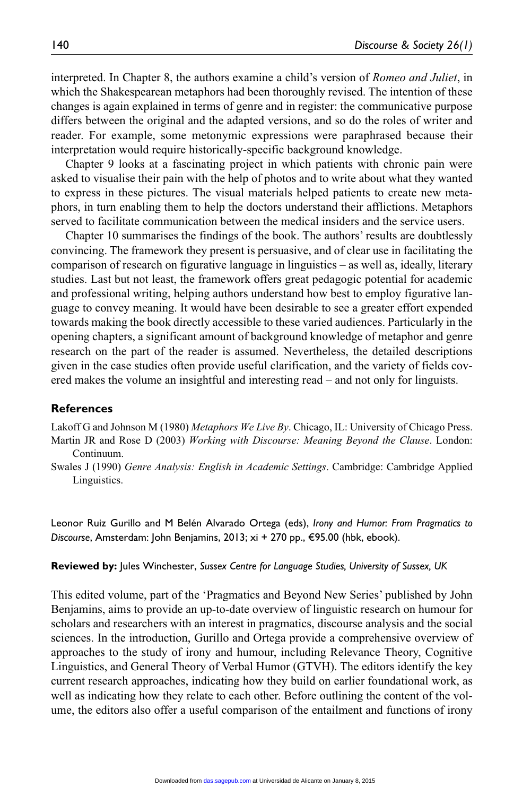interpreted. In Chapter 8, the authors examine a child's version of *Romeo and Juliet*, in which the Shakespearean metaphors had been thoroughly revised. The intention of these changes is again explained in terms of genre and in register: the communicative purpose differs between the original and the adapted versions, and so do the roles of writer and reader. For example, some metonymic expressions were paraphrased because their interpretation would require historically-specific background knowledge.

Chapter 9 looks at a fascinating project in which patients with chronic pain were asked to visualise their pain with the help of photos and to write about what they wanted to express in these pictures. The visual materials helped patients to create new metaphors, in turn enabling them to help the doctors understand their afflictions. Metaphors served to facilitate communication between the medical insiders and the service users.

Chapter 10 summarises the findings of the book. The authors' results are doubtlessly convincing. The framework they present is persuasive, and of clear use in facilitating the comparison of research on figurative language in linguistics – as well as, ideally, literary studies. Last but not least, the framework offers great pedagogic potential for academic and professional writing, helping authors understand how best to employ figurative language to convey meaning. It would have been desirable to see a greater effort expended towards making the book directly accessible to these varied audiences. Particularly in the opening chapters, a significant amount of background knowledge of metaphor and genre research on the part of the reader is assumed. Nevertheless, the detailed descriptions given in the case studies often provide useful clarification, and the variety of fields covered makes the volume an insightful and interesting read – and not only for linguists.

## **References**

Lakoff G and Johnson M (1980) *Metaphors We Live By*. Chicago, IL: University of Chicago Press. Martin JR and Rose D (2003) *Working with Discourse: Meaning Beyond the Clause*. London: Continuum.

Swales J (1990) *Genre Analysis: English in Academic Settings*. Cambridge: Cambridge Applied Linguistics.

Leonor Ruiz Gurillo and M Belén Alvarado Ortega (eds), *Irony and Humor: From Pragmatics to Discourse*, Amsterdam: John Benjamins, 2013; xi + 270 pp., €95.00 (hbk, ebook).

**Reviewed by:** Jules Winchester, *Sussex Centre for Language Studies, University of Sussex, UK*

This edited volume, part of the 'Pragmatics and Beyond New Series' published by John Benjamins, aims to provide an up-to-date overview of linguistic research on humour for scholars and researchers with an interest in pragmatics, discourse analysis and the social sciences. In the introduction, Gurillo and Ortega provide a comprehensive overview of approaches to the study of irony and humour, including Relevance Theory, Cognitive Linguistics, and General Theory of Verbal Humor (GTVH). The editors identify the key current research approaches, indicating how they build on earlier foundational work, as well as indicating how they relate to each other. Before outlining the content of the volume, the editors also offer a useful comparison of the entailment and functions of irony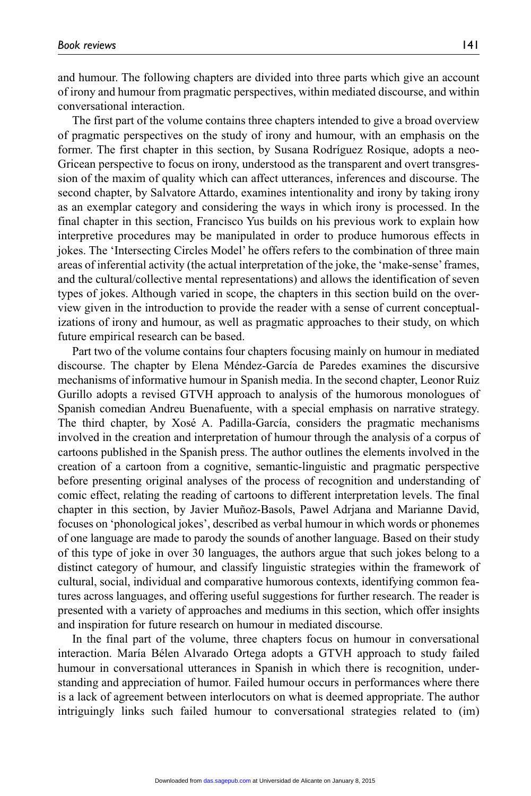and humour. The following chapters are divided into three parts which give an account of irony and humour from pragmatic perspectives, within mediated discourse, and within conversational interaction.

The first part of the volume contains three chapters intended to give a broad overview of pragmatic perspectives on the study of irony and humour, with an emphasis on the former. The first chapter in this section, by Susana Rodríguez Rosique, adopts a neo-Gricean perspective to focus on irony, understood as the transparent and overt transgression of the maxim of quality which can affect utterances, inferences and discourse. The second chapter, by Salvatore Attardo, examines intentionality and irony by taking irony as an exemplar category and considering the ways in which irony is processed. In the final chapter in this section, Francisco Yus builds on his previous work to explain how interpretive procedures may be manipulated in order to produce humorous effects in jokes. The 'Intersecting Circles Model' he offers refers to the combination of three main areas of inferential activity (the actual interpretation of the joke, the 'make-sense' frames, and the cultural/collective mental representations) and allows the identification of seven types of jokes. Although varied in scope, the chapters in this section build on the overview given in the introduction to provide the reader with a sense of current conceptualizations of irony and humour, as well as pragmatic approaches to their study, on which future empirical research can be based.

Part two of the volume contains four chapters focusing mainly on humour in mediated discourse. The chapter by Elena Méndez-García de Paredes examines the discursive mechanisms of informative humour in Spanish media. In the second chapter, Leonor Ruiz Gurillo adopts a revised GTVH approach to analysis of the humorous monologues of Spanish comedian Andreu Buenafuente, with a special emphasis on narrative strategy. The third chapter, by Xosé A. Padilla-García, considers the pragmatic mechanisms involved in the creation and interpretation of humour through the analysis of a corpus of cartoons published in the Spanish press. The author outlines the elements involved in the creation of a cartoon from a cognitive, semantic-linguistic and pragmatic perspective before presenting original analyses of the process of recognition and understanding of comic effect, relating the reading of cartoons to different interpretation levels. The final chapter in this section, by Javier Muñoz-Basols, Pawel Adrjana and Marianne David, focuses on 'phonological jokes', described as verbal humour in which words or phonemes of one language are made to parody the sounds of another language. Based on their study of this type of joke in over 30 languages, the authors argue that such jokes belong to a distinct category of humour, and classify linguistic strategies within the framework of cultural, social, individual and comparative humorous contexts, identifying common features across languages, and offering useful suggestions for further research. The reader is presented with a variety of approaches and mediums in this section, which offer insights and inspiration for future research on humour in mediated discourse.

In the final part of the volume, three chapters focus on humour in conversational interaction. María Bélen Alvarado Ortega adopts a GTVH approach to study failed humour in conversational utterances in Spanish in which there is recognition, understanding and appreciation of humor. Failed humour occurs in performances where there is a lack of agreement between interlocutors on what is deemed appropriate. The author intriguingly links such failed humour to conversational strategies related to (im)